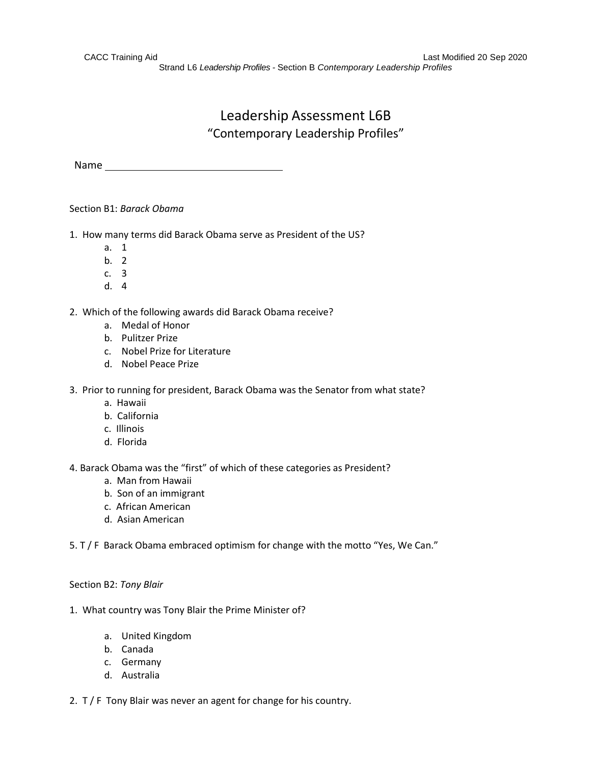Strand L6 *Leadership Profiles -* Section B *Contemporary Leadership Profiles*

# Leadership Assessment L6B "Contemporary Leadership Profiles"

Name

Section B1: *Barack Obama*

- 1. How many terms did Barack Obama serve as President of the US?
	- a. 1
	- b. 2
	- c. 3
	- d. 4
- 2. Which of the following awards did Barack Obama receive?
	- a. Medal of Honor
	- b. Pulitzer Prize
	- c. Nobel Prize for Literature
	- d. Nobel Peace Prize
- 3. Prior to running for president, Barack Obama was the Senator from what state?
	- a. Hawaii
	- b. California
	- c. Illinois
	- d. Florida

4. Barack Obama was the "first" of which of these categories as President?

- a. Man from Hawaii
- b. Son of an immigrant
- c. African American
- d. Asian American

5. T / F Barack Obama embraced optimism for change with the motto "Yes, We Can."

#### Section B2: *Tony Blair*

- 1. What country was Tony Blair the Prime Minister of?
	- a. United Kingdom
	- b. Canada
	- c. Germany
	- d. Australia
- 2. T / F Tony Blair was never an agent for change for his country.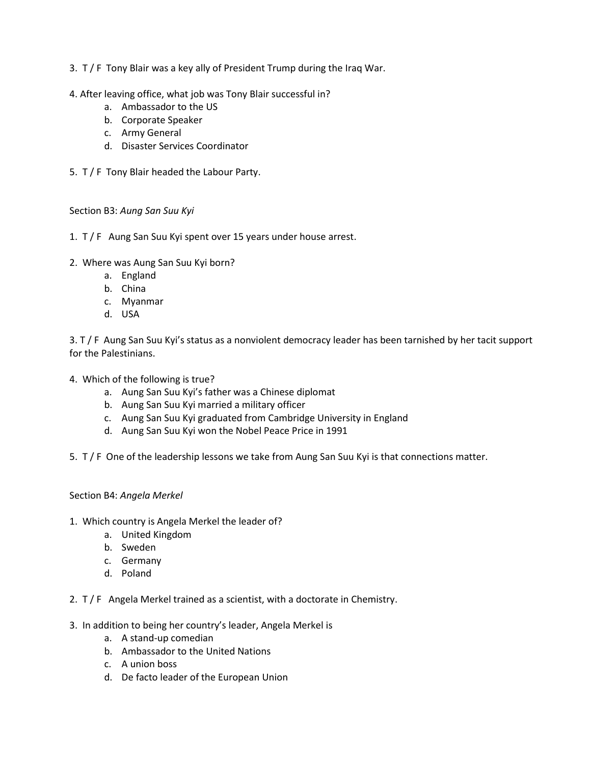- 3. T / F Tony Blair was a key ally of President Trump during the Iraq War.
- 4. After leaving office, what job was Tony Blair successful in?
	- a. Ambassador to the US
	- b. Corporate Speaker
	- c. Army General
	- d. Disaster Services Coordinator
- 5. T / F Tony Blair headed the Labour Party.

Section B3: *Aung San Suu Kyi*

- 1. T / F Aung San Suu Kyi spent over 15 years under house arrest.
- 2. Where was Aung San Suu Kyi born?
	- a. England
	- b. China
	- c. Myanmar
	- d. USA

3. T / F Aung San Suu Kyi's status as a nonviolent democracy leader has been tarnished by her tacit support for the Palestinians.

- 4. Which of the following is true?
	- a. Aung San Suu Kyi's father was a Chinese diplomat
	- b. Aung San Suu Kyi married a military officer
	- c. Aung San Suu Kyi graduated from Cambridge University in England
	- d. Aung San Suu Kyi won the Nobel Peace Price in 1991
- 5. T / F One of the leadership lessons we take from Aung San Suu Kyi is that connections matter.

# Section B4: *Angela Merkel*

- 1. Which country is Angela Merkel the leader of?
	- a. United Kingdom
	- b. Sweden
	- c. Germany
	- d. Poland
- 2. T / F Angela Merkel trained as a scientist, with a doctorate in Chemistry.
- 3. In addition to being her country's leader, Angela Merkel is
	- a. A stand-up comedian
	- b. Ambassador to the United Nations
	- c. A union boss
	- d. De facto leader of the European Union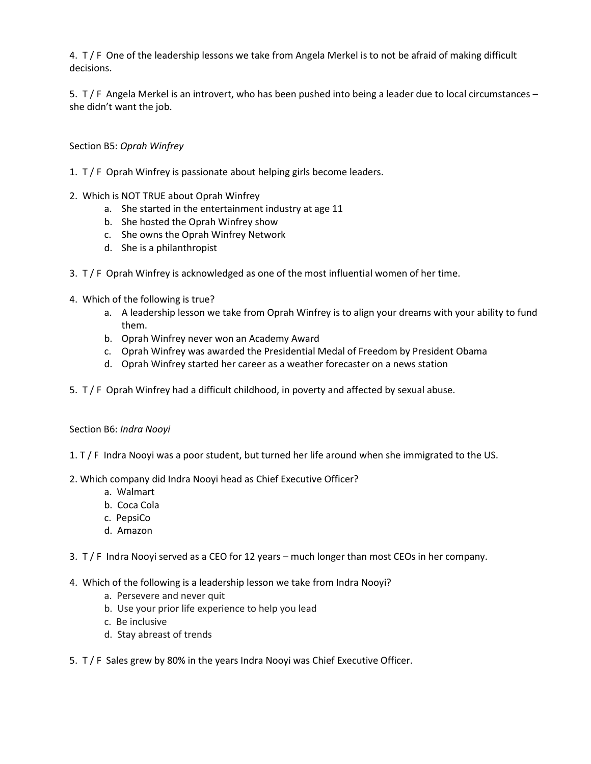4. T / F One of the leadership lessons we take from Angela Merkel is to not be afraid of making difficult decisions.

5. T / F Angela Merkel is an introvert, who has been pushed into being a leader due to local circumstances – she didn't want the job.

# Section B5: *Oprah Winfrey*

- 1. T / F Oprah Winfrey is passionate about helping girls become leaders.
- 2. Which is NOT TRUE about Oprah Winfrey
	- a. She started in the entertainment industry at age 11
	- b. She hosted the Oprah Winfrey show
	- c. She owns the Oprah Winfrey Network
	- d. She is a philanthropist
- 3. T / F Oprah Winfrey is acknowledged as one of the most influential women of her time.
- 4. Which of the following is true?
	- a. A leadership lesson we take from Oprah Winfrey is to align your dreams with your ability to fund them.
	- b. Oprah Winfrey never won an Academy Award
	- c. Oprah Winfrey was awarded the Presidential Medal of Freedom by President Obama
	- d. Oprah Winfrey started her career as a weather forecaster on a news station
- 5. T / F Oprah Winfrey had a difficult childhood, in poverty and affected by sexual abuse.

# Section B6: *Indra Nooyi*

- 1. T / F Indra Nooyi was a poor student, but turned her life around when she immigrated to the US.
- 2. Which company did Indra Nooyi head as Chief Executive Officer?
	- a. Walmart
	- b. Coca Cola
	- c. PepsiCo
	- d. Amazon
- 3. T / F Indra Nooyi served as a CEO for 12 years much longer than most CEOs in her company.
- 4. Which of the following is a leadership lesson we take from Indra Nooyi?
	- a. Persevere and never quit
	- b. Use your prior life experience to help you lead
	- c. Be inclusive
	- d. Stay abreast of trends
- 5. T / F Sales grew by 80% in the years Indra Nooyi was Chief Executive Officer.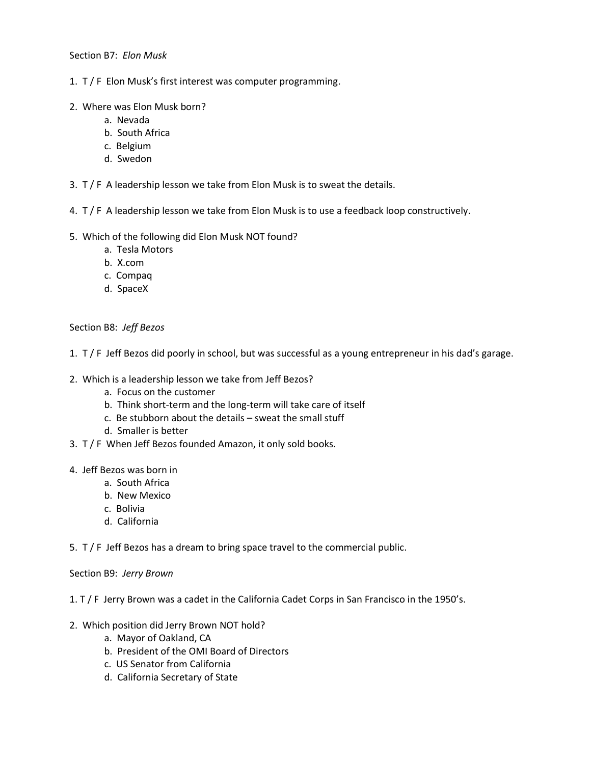## Section B7: *Elon Musk*

- 1. T / F Elon Musk's first interest was computer programming.
- 2. Where was Elon Musk born?
	- a. Nevada
	- b. South Africa
	- c. Belgium
	- d. Swedon
- 3.  $T/F$  A leadership lesson we take from Elon Musk is to sweat the details.
- 4. T / F A leadership lesson we take from Elon Musk is to use a feedback loop constructively.
- 5. Which of the following did Elon Musk NOT found?
	- a. Tesla Motors
	- b. X.com
	- c. Compaq
	- d. SpaceX

## Section B8: *Jeff Bezos*

- 1. T / F Jeff Bezos did poorly in school, but was successful as a young entrepreneur in his dad's garage.
- 2. Which is a leadership lesson we take from Jeff Bezos?
	- a. Focus on the customer
	- b. Think short-term and the long-term will take care of itself
	- c. Be stubborn about the details sweat the small stuff
	- d. Smaller is better
- 3. T / F When Jeff Bezos founded Amazon, it only sold books.
- 4. Jeff Bezos was born in
	- a. South Africa
	- b. New Mexico
	- c. Bolivia
	- d. California

5. T / F Jeff Bezos has a dream to bring space travel to the commercial public.

#### Section B9: *Jerry Brown*

## 1. T / F Jerry Brown was a cadet in the California Cadet Corps in San Francisco in the 1950's.

- 2. Which position did Jerry Brown NOT hold?
	- a. Mayor of Oakland, CA
	- b. President of the OMI Board of Directors
	- c. US Senator from California
	- d. California Secretary of State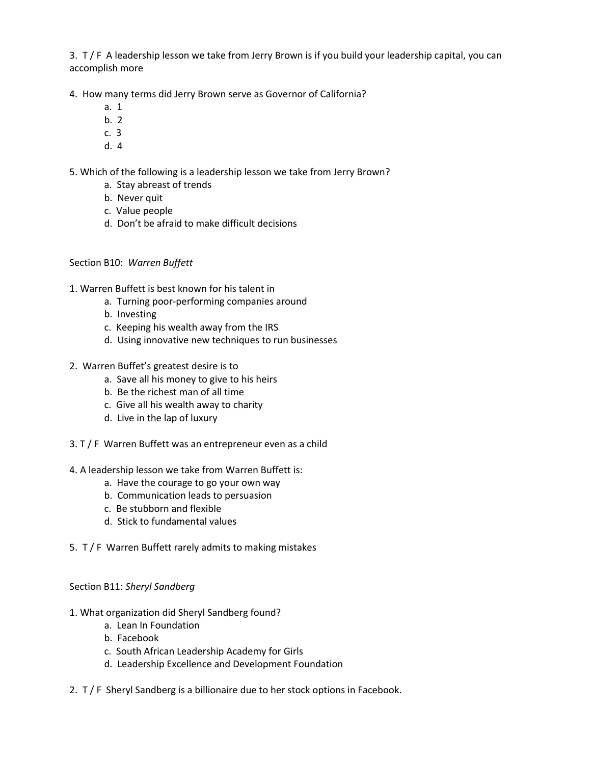3. T / F A leadership lesson we take from Jerry Brown is if you build your leadership capital, you can accomplish more

4. How many terms did Jerry Brown serve as Governor of California?

- a. 1
- b. 2
- c. 3
- d. 4

5. Which of the following is a leadership lesson we take from Jerry Brown?

- a. Stay abreast of trends
- b. Never quit
- c. Value people
- d. Don't be afraid to make difficult decisions

# Section B10: *Warren Buffett*

- 1. Warren Buffett is best known for his talent in
	- a. Turning poor-performing companies around
	- b. Investing
	- c. Keeping his wealth away from the IRS
	- d. Using innovative new techniques to run businesses
- 2. Warren Buffet's greatest desire is to
	- a. Save all his money to give to his heirs
	- b. Be the richest man of all time
	- c. Give all his wealth away to charity
	- d. Live in the lap of luxury
- 3. T / F Warren Buffett was an entrepreneur even as a child
- 4. A leadership lesson we take from Warren Buffett is:
	- a. Have the courage to go your own way
	- b. Communication leads to persuasion
	- c. Be stubborn and flexible
	- d. Stick to fundamental values
- 5. T / F Warren Buffett rarely admits to making mistakes

# Section B11: *Sheryl Sandberg*

- 1. What organization did Sheryl Sandberg found?
	- a. Lean In Foundation
	- b. Facebook
	- c. South African Leadership Academy for Girls
	- d. Leadership Excellence and Development Foundation
- 2. T / F Sheryl Sandberg is a billionaire due to her stock options in Facebook.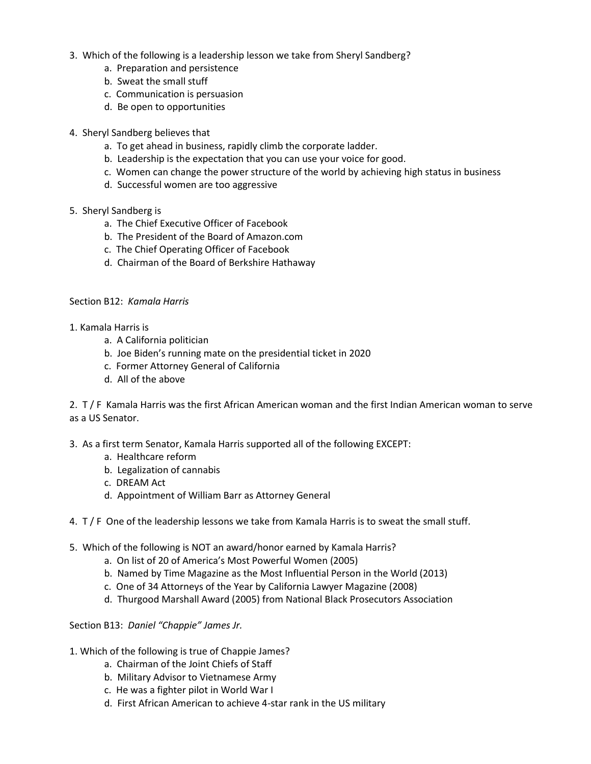- 3. Which of the following is a leadership lesson we take from Sheryl Sandberg?
	- a. Preparation and persistence
	- b. Sweat the small stuff
	- c. Communication is persuasion
	- d. Be open to opportunities
- 4. Sheryl Sandberg believes that
	- a. To get ahead in business, rapidly climb the corporate ladder.
	- b. Leadership is the expectation that you can use your voice for good.
	- c. Women can change the power structure of the world by achieving high status in business
	- d. Successful women are too aggressive
- 5. Sheryl Sandberg is
	- a. The Chief Executive Officer of Facebook
	- b. The President of the Board of Amazon.com
	- c. The Chief Operating Officer of Facebook
	- d. Chairman of the Board of Berkshire Hathaway

## Section B12: *Kamala Harris*

- 1. Kamala Harris is
	- a. A California politician
	- b. Joe Biden's running mate on the presidential ticket in 2020
	- c. Former Attorney General of California
	- d. All of the above

2. T / F Kamala Harris was the first African American woman and the first Indian American woman to serve as a US Senator.

- 3. As a first term Senator, Kamala Harris supported all of the following EXCEPT:
	- a. Healthcare reform
	- b. Legalization of cannabis
	- c. DREAM Act
	- d. Appointment of William Barr as Attorney General
- 4. T / F One of the leadership lessons we take from Kamala Harris is to sweat the small stuff.
- 5. Which of the following is NOT an award/honor earned by Kamala Harris?
	- a. On list of 20 of America's Most Powerful Women (2005)
	- b. Named by Time Magazine as the Most Influential Person in the World (2013)
	- c. One of 34 Attorneys of the Year by California Lawyer Magazine (2008)
	- d. Thurgood Marshall Award (2005) from National Black Prosecutors Association

# Section B13: *Daniel "Chappie" James Jr.*

- 1. Which of the following is true of Chappie James?
	- a. Chairman of the Joint Chiefs of Staff
	- b. Military Advisor to Vietnamese Army
	- c. He was a fighter pilot in World War I
	- d. First African American to achieve 4-star rank in the US military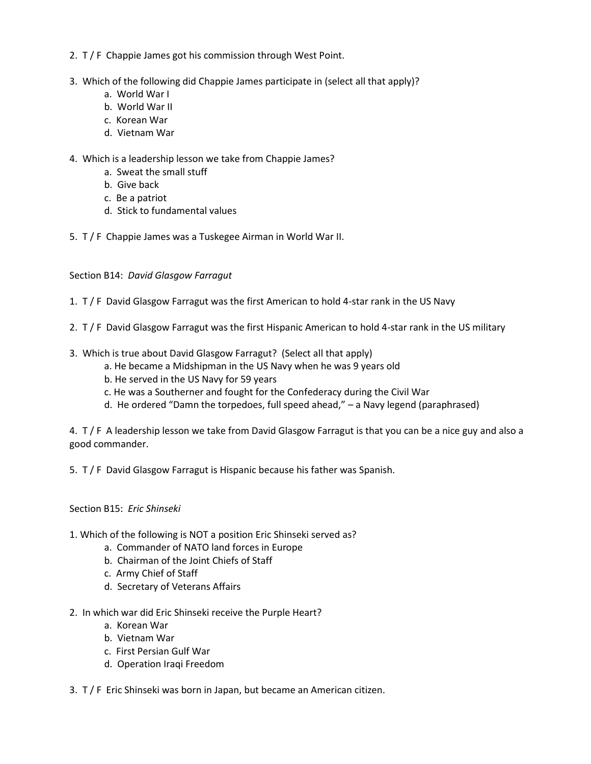- 2. T / F Chappie James got his commission through West Point.
- 3. Which of the following did Chappie James participate in (select all that apply)?
	- a. World War I
	- b. World War II
	- c. Korean War
	- d. Vietnam War
- 4. Which is a leadership lesson we take from Chappie James?
	- a. Sweat the small stuff
	- b. Give back
	- c. Be a patriot
	- d. Stick to fundamental values
- 5. T / F Chappie James was a Tuskegee Airman in World War II.

Section B14: *David Glasgow Farragut*

- 1. T / F David Glasgow Farragut was the first American to hold 4-star rank in the US Navy
- 2. T / F David Glasgow Farragut was the first Hispanic American to hold 4-star rank in the US military
- 3. Which is true about David Glasgow Farragut? (Select all that apply)
	- a. He became a Midshipman in the US Navy when he was 9 years old
	- b. He served in the US Navy for 59 years
	- c. He was a Southerner and fought for the Confederacy during the Civil War
	- d. He ordered "Damn the torpedoes, full speed ahead," a Navy legend (paraphrased)

4. T / F A leadership lesson we take from David Glasgow Farragut is that you can be a nice guy and also a good commander.

5. T / F David Glasgow Farragut is Hispanic because his father was Spanish.

Section B15: *Eric Shinseki*

- 1. Which of the following is NOT a position Eric Shinseki served as?
	- a. Commander of NATO land forces in Europe
	- b. Chairman of the Joint Chiefs of Staff
	- c. Army Chief of Staff
	- d. Secretary of Veterans Affairs
- 2. In which war did Eric Shinseki receive the Purple Heart?
	- a. Korean War
	- b. Vietnam War
	- c. First Persian Gulf War
	- d. Operation Iraqi Freedom
- 3. T / F Eric Shinseki was born in Japan, but became an American citizen.